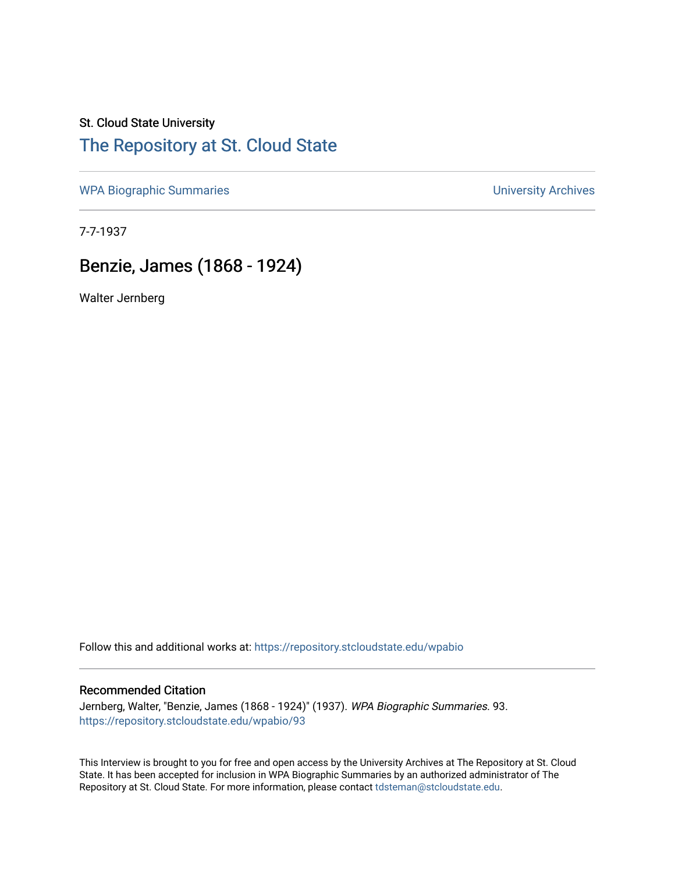## St. Cloud State University [The Repository at St. Cloud State](https://repository.stcloudstate.edu/)

[WPA Biographic Summaries](https://repository.stcloudstate.edu/wpabio) **WPA Biographic Summaries University Archives** 

7-7-1937

## Benzie, James (1868 - 1924)

Walter Jernberg

Follow this and additional works at: [https://repository.stcloudstate.edu/wpabio](https://repository.stcloudstate.edu/wpabio?utm_source=repository.stcloudstate.edu%2Fwpabio%2F93&utm_medium=PDF&utm_campaign=PDFCoverPages) 

## Recommended Citation

Jernberg, Walter, "Benzie, James (1868 - 1924)" (1937). WPA Biographic Summaries. 93. [https://repository.stcloudstate.edu/wpabio/93](https://repository.stcloudstate.edu/wpabio/93?utm_source=repository.stcloudstate.edu%2Fwpabio%2F93&utm_medium=PDF&utm_campaign=PDFCoverPages)

This Interview is brought to you for free and open access by the University Archives at The Repository at St. Cloud State. It has been accepted for inclusion in WPA Biographic Summaries by an authorized administrator of The Repository at St. Cloud State. For more information, please contact [tdsteman@stcloudstate.edu.](mailto:tdsteman@stcloudstate.edu)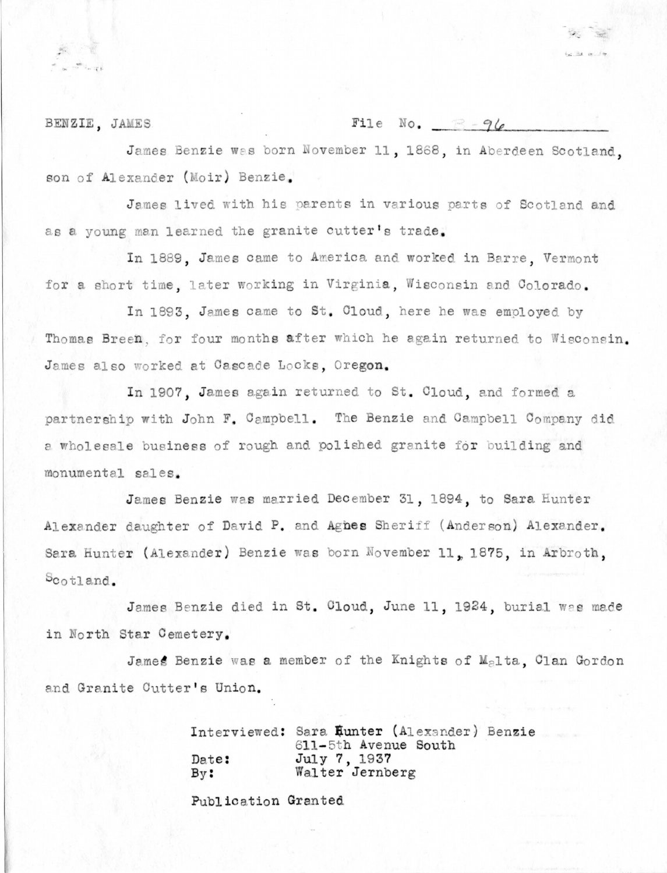BENZIE, JAMES

File No.  $\mathbb{R} - 96$ 

 $4x - 3x - 4x - 4x$ 

James Benzie was born November 11, 1868, in Aberdeen Scotland. son of Alexander (Moir) Benzie.

James lived with his parents in various parts of Scotland and as a young man learned the granite cutter's trade.

In 1889. James came to America and worked in Barre. Vermont for a short time, later working in Virginia. Wisconsin and Colorado.

In 1893. James came to St. Cloud, here he was employed by Thomas Breen, for four months after which he again returned to Wisconsin. James also worked at Cascade Locks, Oregon.

In 1907. James again returned to St. Cloud, and formed a partnership with John F. Campbell. The Benzie and Campbell Company did a wholesale business of rough and polished granite for building and monumental sales.

James Benzie was married December 31, 1894, to Sara Hunter Alexander daughter of David P. and Agnes Sheriff (Anderson) Alexander. Sara Hunter (Alexander) Benzie was born November 11, 1875, in Arbroth,  $5$ cotland.

James Benzie died in St. Cloud, June 11, 1924, burial was made in North Star Cemetery.

James Benzie was a member of the Knights of Malta. Clan Gordon and Granite Cutter's Union.

> Interviewed: Sara Eunter (Alexander) Benzie 611-5th Avenue South July 7, 1937 Date: Walter Jernberg  $By:$

Publication Granted